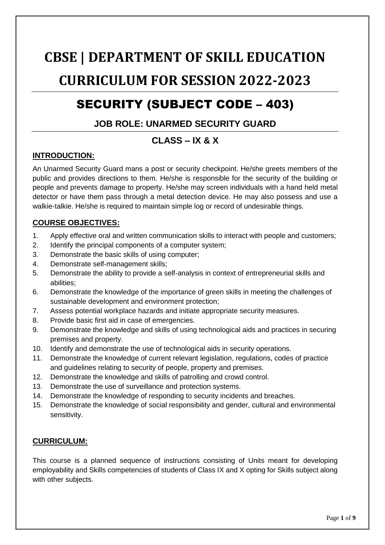# **CBSE | DEPARTMENT OF SKILL EDUCATION CURRICULUM FOR SESSION 2022-2023**

## SECURITY (SUBJECT CODE – 403)

## **JOB ROLE: UNARMED SECURITY GUARD**

## **CLASS – IX & X**

## **INTRODUCTION:**

An Unarmed Security Guard mans a post or security checkpoint. He/she greets members of the public and provides directions to them. He/she is responsible for the security of the building or people and prevents damage to property. He/she may screen individuals with a hand held metal detector or have them pass through a metal detection device. He may also possess and use a walkie-talkie. He/she is required to maintain simple log or record of undesirable things.

## **COURSE OBJECTIVES:**

- 1. Apply effective oral and written communication skills to interact with people and customers;
- 2. Identify the principal components of a computer system;
- 3. Demonstrate the basic skills of using computer;
- 4. Demonstrate self-management skills;
- 5. Demonstrate the ability to provide a self-analysis in context of entrepreneurial skills and abilities;
- 6. Demonstrate the knowledge of the importance of green skills in meeting the challenges of sustainable development and environment protection;
- 7. Assess potential workplace hazards and initiate appropriate security measures.
- 8. Provide basic first aid in case of emergencies.
- 9. Demonstrate the knowledge and skills of using technological aids and practices in securing premises and property.
- 10. Identify and demonstrate the use of technological aids in security operations.
- 11. Demonstrate the knowledge of current relevant legislation, regulations, codes of practice and guidelines relating to security of people, property and premises.
- 12. Demonstrate the knowledge and skills of patrolling and crowd control.
- 13. Demonstrate the use of surveillance and protection systems.
- 14. Demonstrate the knowledge of responding to security incidents and breaches.
- 15. Demonstrate the knowledge of social responsibility and gender, cultural and environmental sensitivity.

## **CURRICULUM:**

This course is a planned sequence of instructions consisting of Units meant for developing employability and Skills competencies of students of Class IX and X opting for Skills subject along with other subjects.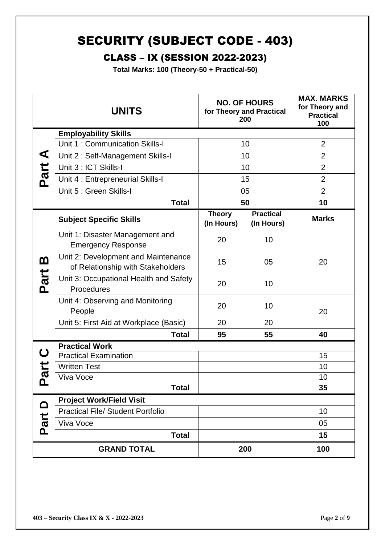## SECURITY (SUBJECT CODE - 403)

## CLASS – IX (SESSION 2022-2023)

**Total Marks: 100 (Theory-50 + Practical-50)**

|          | <b>UNITS</b>                                                             |                             | <b>NO. OF HOURS</b><br>for Theory and Practical<br>200 | <b>MAX. MARKS</b><br>for Theory and<br><b>Practical</b><br>100 |
|----------|--------------------------------------------------------------------------|-----------------------------|--------------------------------------------------------|----------------------------------------------------------------|
|          | <b>Employability Skills</b>                                              |                             |                                                        |                                                                |
|          | Unit 1: Communication Skills-I                                           | 10                          |                                                        | $\overline{2}$                                                 |
| ⋖        | Unit 2: Self-Management Skills-I                                         |                             | 10                                                     | $\overline{2}$                                                 |
| Part     | Unit 3 : ICT Skills-I                                                    | 10                          |                                                        | $\overline{2}$                                                 |
|          | Unit 4 : Entrepreneurial Skills-I                                        | 15                          |                                                        | $\overline{2}$                                                 |
|          | Unit 5 : Green Skills-I                                                  | 05                          |                                                        | $\overline{2}$                                                 |
|          | <b>Total</b>                                                             | 50                          |                                                        | 10                                                             |
|          | <b>Subject Specific Skills</b>                                           | <b>Theory</b><br>(In Hours) | <b>Practical</b><br>(In Hours)                         | <b>Marks</b>                                                   |
|          | Unit 1: Disaster Management and<br><b>Emergency Response</b>             | 20                          | 10                                                     |                                                                |
| <u>ന</u> | Unit 2: Development and Maintenance<br>of Relationship with Stakeholders | 15                          | 05                                                     | 20                                                             |
| Part     | Unit 3: Occupational Health and Safety<br>Procedures                     | 20                          | 10                                                     |                                                                |
|          | Unit 4: Observing and Monitoring<br>People                               | 20                          | 10                                                     | 20                                                             |
|          | Unit 5: First Aid at Workplace (Basic)                                   | 20                          | 20                                                     |                                                                |
|          | <b>Total</b>                                                             | 95                          | 55                                                     | 40                                                             |
|          | <b>Practical Work</b>                                                    |                             |                                                        |                                                                |
| U        | <b>Practical Examination</b>                                             |                             |                                                        | 15                                                             |
| art      | <b>Written Test</b>                                                      |                             |                                                        | 10                                                             |
| <u>ռ</u> | Viva Voce                                                                |                             |                                                        | 10                                                             |
|          | <b>Total</b>                                                             |                             |                                                        | 35                                                             |
|          | <b>Project Work/Field Visit</b>                                          |                             |                                                        |                                                                |
|          | <b>Practical File/ Student Portfolio</b>                                 |                             |                                                        | 10                                                             |
| Part D   | Viva Voce                                                                |                             |                                                        | 05                                                             |
|          | <b>Total</b>                                                             |                             |                                                        | 15                                                             |
|          | <b>GRAND TOTAL</b>                                                       |                             | 200                                                    | 100                                                            |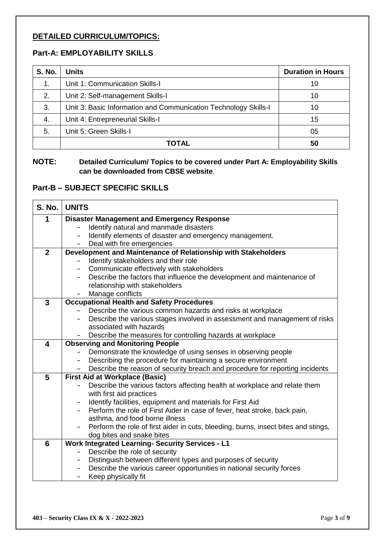## **DETAILED CURRICULUM/TOPICS:**

## **Part-A: EMPLOYABILITY SKILLS**

| <b>S. No.</b> | <b>Units</b>                                                    | <b>Duration in Hours</b> |
|---------------|-----------------------------------------------------------------|--------------------------|
| $\mathbf 1$ . | Unit 1: Communication Skills-I                                  | 10                       |
| 2.            | Unit 2: Self-management Skills-I                                | 10                       |
| 3.            | Unit 3: Basic Information and Communication Technology Skills-I | 10                       |
| 4.            | Unit 4: Entrepreneurial Skills-I                                | 15                       |
| 5.            | Unit 5: Green Skills-I                                          | 05                       |
|               | TOTAL                                                           | 50                       |

**NOTE: Detailed Curriculum/ Topics to be covered under Part A: Employability Skills can be downloaded from CBSE website**.

### **Part-B – SUBJECT SPECIFIC SKILLS**

| <b>S. No.</b>           | <b>UNITS</b>                                                                                                                                 |
|-------------------------|----------------------------------------------------------------------------------------------------------------------------------------------|
| 1                       | <b>Disaster Management and Emergency Response</b>                                                                                            |
|                         | Identify natural and manmade disasters                                                                                                       |
|                         | Identify elements of disaster and emergency management.                                                                                      |
|                         | Deal with fire emergencies                                                                                                                   |
| $\overline{2}$          | Development and Maintenance of Relationship with Stakeholders                                                                                |
|                         | Identify stakeholders and their role                                                                                                         |
|                         | Communicate effectively with stakeholders                                                                                                    |
|                         | Describe the factors that influence the development and maintenance of<br>$\qquad \qquad -$                                                  |
|                         | relationship with stakeholders                                                                                                               |
|                         | Manage conflicts                                                                                                                             |
| $\overline{3}$          | <b>Occupational Health and Safety Procedures</b>                                                                                             |
|                         | Describe the various common hazards and risks at workplace                                                                                   |
|                         | Describe the various stages involved in assessment and management of risks                                                                   |
|                         | associated with hazards                                                                                                                      |
|                         | Describe the measures for controlling hazards at workplace                                                                                   |
| $\overline{\mathbf{4}}$ | <b>Observing and Monitoring People</b>                                                                                                       |
|                         | Demonstrate the knowledge of using senses in observing people<br>$\qquad \qquad -$                                                           |
|                         | Describing the procedure for maintaining a secure environment                                                                                |
|                         | Describe the reason of security breach and procedure for reporting incidents                                                                 |
| 5                       | <b>First Aid at Workplace (Basic)</b>                                                                                                        |
|                         | Describe the various factors affecting health at workplace and relate them                                                                   |
|                         | with first aid practices                                                                                                                     |
|                         | Identify facilities, equipment and materials for First Aid                                                                                   |
|                         | Perform the role of First Aider in case of fever, heat stroke, back pain,                                                                    |
|                         | asthma, and food borne illness                                                                                                               |
|                         | Perform the role of first aider in cuts, bleeding, burns, insect bites and stings,<br>$\overline{\phantom{0}}$                               |
|                         | dog bites and snake bites                                                                                                                    |
| 6                       | <b>Work Integrated Learning- Security Services - L1</b>                                                                                      |
|                         | Describe the role of security                                                                                                                |
|                         | Distinguish between different types and purposes of security<br>$-$<br>Describe the various career opportunities in national security forces |
|                         | -                                                                                                                                            |
|                         | Keep physically fit                                                                                                                          |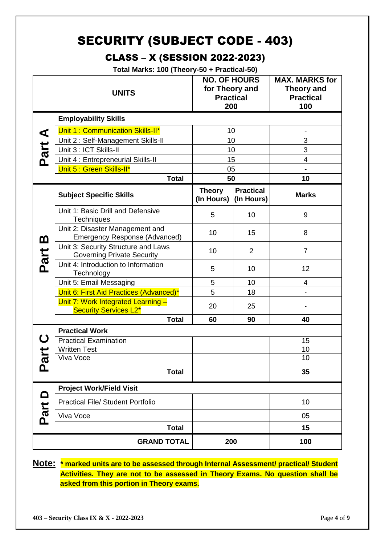## SECURITY (SUBJECT CODE - 403)

## CLASS – X (SESSION 2022-2023)

**Total Marks: 100 (Theory-50 + Practical-50)**

|                       | <b>UNITS</b>                                                             | <b>NO. OF HOURS</b><br>for Theory and<br><b>Practical</b><br>200 |                                | <b>MAX. MARKS for</b><br><b>Theory and</b><br><b>Practical</b><br>100 |
|-----------------------|--------------------------------------------------------------------------|------------------------------------------------------------------|--------------------------------|-----------------------------------------------------------------------|
|                       | <b>Employability Skills</b>                                              | 10                                                               |                                |                                                                       |
| ⋖                     | Unit 1: Communication Skills-II*                                         |                                                                  |                                |                                                                       |
|                       | Unit 2: Self-Management Skills-II                                        | 10                                                               |                                | 3                                                                     |
| Part                  | Unit 3 : ICT Skills-II                                                   | 10                                                               |                                | 3                                                                     |
|                       | Unit 4 : Entrepreneurial Skills-II                                       | 15                                                               |                                | 4                                                                     |
|                       | Unit 5 : Green Skills-II*                                                | 05                                                               |                                |                                                                       |
|                       | <b>Total</b>                                                             | 50                                                               |                                | 10                                                                    |
|                       | <b>Subject Specific Skills</b>                                           | <b>Theory</b><br>(In Hours)                                      | <b>Practical</b><br>(In Hours) | <b>Marks</b>                                                          |
|                       | Unit 1: Basic Drill and Defensive<br>Techniques                          | 5                                                                | 10                             | 9                                                                     |
| <u>ന</u>              | Unit 2: Disaster Management and<br>Emergency Response (Advanced)         | 10                                                               | 15                             | 8                                                                     |
| Part                  | Unit 3: Security Structure and Laws<br><b>Governing Private Security</b> | 10                                                               | $\overline{2}$                 | $\overline{7}$                                                        |
|                       | Unit 4: Introduction to Information<br>Technology                        | 5                                                                | 10                             | 12                                                                    |
|                       | Unit 5: Email Messaging                                                  | 5                                                                | 10                             | 4                                                                     |
|                       | Unit 6: First Aid Practices (Advanced)*                                  | 5                                                                | 18                             | $\overline{\phantom{0}}$                                              |
|                       | Unit 7: Work Integrated Learning -<br><b>Security Services L2*</b>       | 20                                                               | 25                             |                                                                       |
|                       | <b>Total</b>                                                             | 60                                                               | 90                             | 40                                                                    |
|                       | <b>Practical Work</b>                                                    |                                                                  |                                |                                                                       |
|                       | <b>Practical Examination</b><br><b>Written Test</b>                      |                                                                  |                                | 15<br>10                                                              |
| $\boldsymbol{\sigma}$ | Viva Voce                                                                |                                                                  |                                | 10                                                                    |
| <u>n</u>              | <b>Total</b>                                                             |                                                                  |                                | 35                                                                    |
|                       | <b>Project Work/Field Visit</b>                                          |                                                                  |                                |                                                                       |
| Part D                | <b>Practical File/ Student Portfolio</b>                                 |                                                                  |                                | 10                                                                    |
|                       | Viva Voce                                                                |                                                                  |                                | 05                                                                    |
|                       | <b>Total</b>                                                             |                                                                  |                                | 15                                                                    |
|                       | <b>GRAND TOTAL</b>                                                       | 200                                                              |                                | 100                                                                   |

**Note: \* marked units are to be assessed through Internal Assessment/ practical/ Student Activities. They are not to be assessed in Theory Exams. No question shall be asked from this portion in Theory exams.**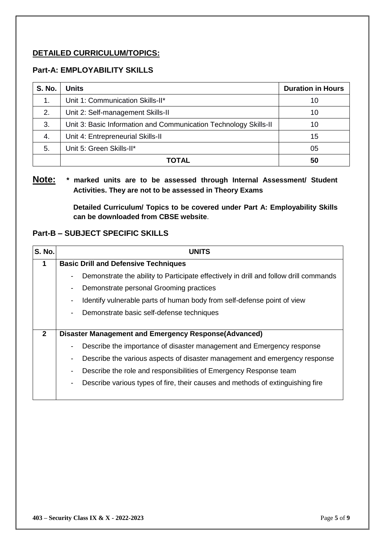## **DETAILED CURRICULUM/TOPICS:**

### **Part-A: EMPLOYABILITY SKILLS**

| <b>S. No.</b> | <b>Units</b>                                                     | <b>Duration in Hours</b> |
|---------------|------------------------------------------------------------------|--------------------------|
| 1.            | Unit 1: Communication Skills-II*                                 | 10                       |
| 2.            | Unit 2: Self-management Skills-II                                | 10                       |
| 3.            | Unit 3: Basic Information and Communication Technology Skills-II | 10                       |
| -4.           | Unit 4: Entrepreneurial Skills-II                                | 15                       |
| 5.            | Unit 5: Green Skills-II*                                         | 05                       |
|               | TOTAL                                                            | 50                       |

## **Note: \* marked units are to be assessed through Internal Assessment/ Student Activities. They are not to be assessed in Theory Exams**

**Detailed Curriculum/ Topics to be covered under Part A: Employability Skills can be downloaded from CBSE website**.

### **Part-B – SUBJECT SPECIFIC SKILLS**

| <b>S. No.</b> | <b>UNITS</b>                                                                                               |
|---------------|------------------------------------------------------------------------------------------------------------|
| 1             | <b>Basic Drill and Defensive Techniques</b>                                                                |
|               | Demonstrate the ability to Participate effectively in drill and follow drill commands                      |
|               | Demonstrate personal Grooming practices<br>$\overline{\phantom{a}}$                                        |
|               | Identify vulnerable parts of human body from self-defense point of view<br>$\blacksquare$                  |
|               | Demonstrate basic self-defense techniques<br>$\overline{\phantom{a}}$                                      |
|               |                                                                                                            |
| $\mathbf{2}$  | Disaster Management and Emergency Response(Advanced)                                                       |
|               | Describe the importance of disaster management and Emergency response                                      |
|               | Describe the various aspects of disaster management and emergency response<br>$\overline{\phantom{a}}$     |
|               | Describe the role and responsibilities of Emergency Response team<br>$\overline{\phantom{a}}$              |
|               | Describe various types of fire, their causes and methods of extinguishing fire<br>$\overline{\phantom{a}}$ |
|               |                                                                                                            |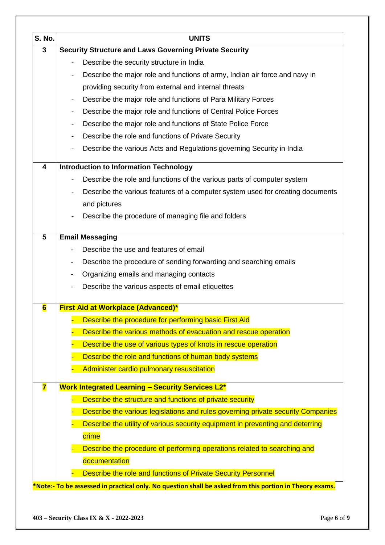| S. No.                  | <b>UNITS</b>                                                                                     |  |  |
|-------------------------|--------------------------------------------------------------------------------------------------|--|--|
| 3                       | <b>Security Structure and Laws Governing Private Security</b>                                    |  |  |
|                         | Describe the security structure in India<br>$\blacksquare$                                       |  |  |
|                         | Describe the major role and functions of army, Indian air force and navy in<br>$\blacksquare$    |  |  |
|                         | providing security from external and internal threats                                            |  |  |
|                         | Describe the major role and functions of Para Military Forces<br>$\blacksquare$                  |  |  |
|                         | Describe the major role and functions of Central Police Forces<br>$\overline{\phantom{a}}$       |  |  |
|                         | Describe the major role and functions of State Police Force<br>$\blacksquare$                    |  |  |
|                         | Describe the role and functions of Private Security<br>$\blacksquare$                            |  |  |
|                         | Describe the various Acts and Regulations governing Security in India<br>$\blacksquare$          |  |  |
| 4                       | <b>Introduction to Information Technology</b>                                                    |  |  |
|                         | Describe the role and functions of the various parts of computer system                          |  |  |
|                         | Describe the various features of a computer system used for creating documents<br>$\blacksquare$ |  |  |
|                         | and pictures                                                                                     |  |  |
|                         | Describe the procedure of managing file and folders                                              |  |  |
| $5\phantom{.0}$         | <b>Email Messaging</b>                                                                           |  |  |
|                         | Describe the use and features of email                                                           |  |  |
|                         | Describe the procedure of sending forwarding and searching emails<br>$\overline{\phantom{a}}$    |  |  |
|                         | Organizing emails and managing contacts                                                          |  |  |
|                         | Describe the various aspects of email etiquettes                                                 |  |  |
| $6\phantom{1}6$         | <b>First Aid at Workplace (Advanced)*</b>                                                        |  |  |
|                         | Describe the procedure for performing basic First Aid                                            |  |  |
|                         | Describe the various methods of evacuation and rescue operation                                  |  |  |
|                         | Describe the use of various types of knots in rescue operation                                   |  |  |
|                         | Describe the role and functions of human body systems                                            |  |  |
|                         | Administer cardio pulmonary resuscitation                                                        |  |  |
| $\overline{\mathbf{7}}$ | <b>Work Integrated Learning - Security Services L2*</b>                                          |  |  |
|                         | Describe the structure and functions of private security                                         |  |  |
|                         | Describe the various legislations and rules governing private security Companies                 |  |  |
|                         | Describe the utility of various security equipment in preventing and deterring                   |  |  |
|                         | crime                                                                                            |  |  |
|                         | Describe the procedure of performing operations related to searching and                         |  |  |
|                         | documentation                                                                                    |  |  |
|                         | Describe the role and functions of Private Security Personnel                                    |  |  |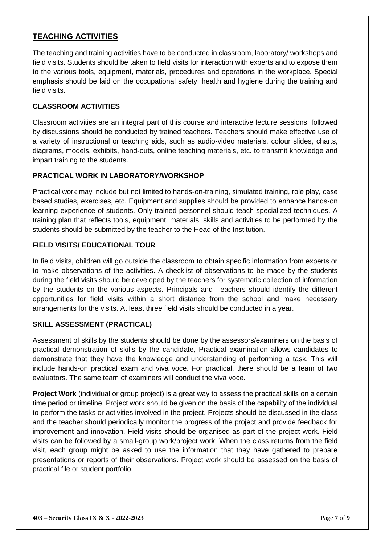## **TEACHING ACTIVITIES**

The teaching and training activities have to be conducted in classroom, laboratory/ workshops and field visits. Students should be taken to field visits for interaction with experts and to expose them to the various tools, equipment, materials, procedures and operations in the workplace. Special emphasis should be laid on the occupational safety, health and hygiene during the training and field visits.

### **CLASSROOM ACTIVITIES**

Classroom activities are an integral part of this course and interactive lecture sessions, followed by discussions should be conducted by trained teachers. Teachers should make effective use of a variety of instructional or teaching aids, such as audio-video materials, colour slides, charts, diagrams, models, exhibits, hand-outs, online teaching materials, etc. to transmit knowledge and impart training to the students.

#### **PRACTICAL WORK IN LABORATORY/WORKSHOP**

Practical work may include but not limited to hands-on-training, simulated training, role play, case based studies, exercises, etc. Equipment and supplies should be provided to enhance hands-on learning experience of students. Only trained personnel should teach specialized techniques. A training plan that reflects tools, equipment, materials, skills and activities to be performed by the students should be submitted by the teacher to the Head of the Institution.

#### **FIELD VISITS/ EDUCATIONAL TOUR**

In field visits, children will go outside the classroom to obtain specific information from experts or to make observations of the activities. A checklist of observations to be made by the students during the field visits should be developed by the teachers for systematic collection of information by the students on the various aspects. Principals and Teachers should identify the different opportunities for field visits within a short distance from the school and make necessary arrangements for the visits. At least three field visits should be conducted in a year.

#### **SKILL ASSESSMENT (PRACTICAL)**

Assessment of skills by the students should be done by the assessors/examiners on the basis of practical demonstration of skills by the candidate, Practical examination allows candidates to demonstrate that they have the knowledge and understanding of performing a task. This will include hands-on practical exam and viva voce. For practical, there should be a team of two evaluators. The same team of examiners will conduct the viva voce.

**Project Work** (individual or group project) is a great way to assess the practical skills on a certain time period or timeline. Project work should be given on the basis of the capability of the individual to perform the tasks or activities involved in the project. Projects should be discussed in the class and the teacher should periodically monitor the progress of the project and provide feedback for improvement and innovation. Field visits should be organised as part of the project work. Field visits can be followed by a small-group work/project work. When the class returns from the field visit, each group might be asked to use the information that they have gathered to prepare presentations or reports of their observations. Project work should be assessed on the basis of practical file or student portfolio.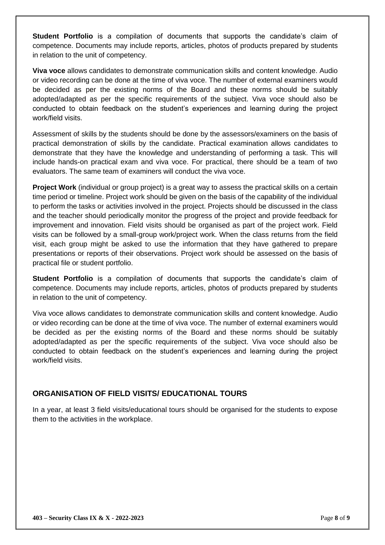**Student Portfolio** is a compilation of documents that supports the candidate's claim of competence. Documents may include reports, articles, photos of products prepared by students in relation to the unit of competency.

**Viva voce** allows candidates to demonstrate communication skills and content knowledge. Audio or video recording can be done at the time of viva voce. The number of external examiners would be decided as per the existing norms of the Board and these norms should be suitably adopted/adapted as per the specific requirements of the subject. Viva voce should also be conducted to obtain feedback on the student's experiences and learning during the project work/field visits.

Assessment of skills by the students should be done by the assessors/examiners on the basis of practical demonstration of skills by the candidate. Practical examination allows candidates to demonstrate that they have the knowledge and understanding of performing a task. This will include hands-on practical exam and viva voce. For practical, there should be a team of two evaluators. The same team of examiners will conduct the viva voce.

**Project Work** (individual or group project) is a great way to assess the practical skills on a certain time period or timeline. Project work should be given on the basis of the capability of the individual to perform the tasks or activities involved in the project. Projects should be discussed in the class and the teacher should periodically monitor the progress of the project and provide feedback for improvement and innovation. Field visits should be organised as part of the project work. Field visits can be followed by a small-group work/project work. When the class returns from the field visit, each group might be asked to use the information that they have gathered to prepare presentations or reports of their observations. Project work should be assessed on the basis of practical file or student portfolio.

**Student Portfolio** is a compilation of documents that supports the candidate's claim of competence. Documents may include reports, articles, photos of products prepared by students in relation to the unit of competency.

Viva voce allows candidates to demonstrate communication skills and content knowledge. Audio or video recording can be done at the time of viva voce. The number of external examiners would be decided as per the existing norms of the Board and these norms should be suitably adopted/adapted as per the specific requirements of the subject. Viva voce should also be conducted to obtain feedback on the student's experiences and learning during the project work/field visits.

## **ORGANISATION OF FIELD VISITS/ EDUCATIONAL TOURS**

In a year, at least 3 field visits/educational tours should be organised for the students to expose them to the activities in the workplace.